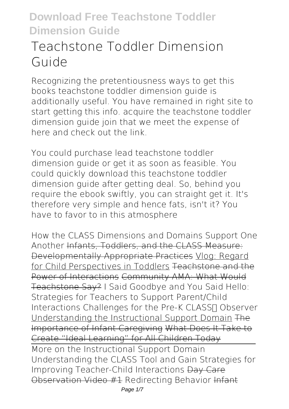# **Teachstone Toddler Dimension Guide**

Recognizing the pretentiousness ways to get this books **teachstone toddler dimension guide** is additionally useful. You have remained in right site to start getting this info. acquire the teachstone toddler dimension guide join that we meet the expense of here and check out the link.

You could purchase lead teachstone toddler dimension guide or get it as soon as feasible. You could quickly download this teachstone toddler dimension guide after getting deal. So, behind you require the ebook swiftly, you can straight get it. It's therefore very simple and hence fats, isn't it? You have to favor to in this atmosphere

*How the CLASS Dimensions and Domains Support One Another* Infants, Toddlers, and the CLASS Measure: Developmentally Appropriate Practices Vlog: Regard for Child Perspectives in Toddlers Teachstone and the Power of Interactions Community AMA: What Would Teachstone Say? *I Said Goodbye and You Said Hello: Strategies for Teachers to Support Parent/Child Interactions Challenges for the Pre-K CLASS∏ Observer* Understanding the Instructional Support Domain The Importance of Infant Caregiving What Does It Take to Create "Ideal Learning" for All Children Today More on the Instructional Support Domain **Understanding the CLASS Tool and Gain Strategies for Improving Teacher-Child Interactions** Day Care Observation Video #1 Redirecting Behavior Infant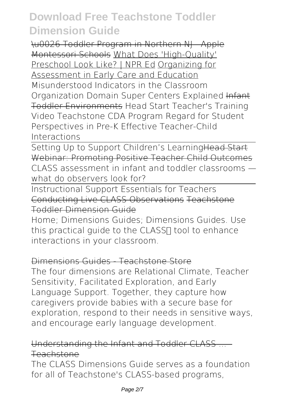\u0026 Toddler Program in Northern NJ - Apple Montessori Schools What Does 'High-Quality' Preschool Look Like? | NPR Ed Organizing for Assessment in Early Care and Education **Misunderstood Indicators in the Classroom Organization Domain** *Super Centers Explained* Infant Toddler Environments *Head Start Teacher's Training Video Teachstone CDA Program* Regard for Student Perspectives in Pre-K Effective Teacher-Child Interactions

Setting Up to Support Children's Learning Head Start Webinar: Promoting Positive Teacher Child Outcomes *CLASS assessment in infant and toddler classrooms what do observers look for?*

Instructional Support Essentials for Teachers Conducting Live CLASS Observations Teachstone Toddler Dimension Guide

Home; Dimensions Guides; Dimensions Guides. Use this practical quide to the CLASS∏ tool to enhance interactions in your classroom.

### Dimensions Guides - Teachstone Store

The four dimensions are Relational Climate, Teacher Sensitivity, Facilitated Exploration, and Early Language Support. Together, they capture how caregivers provide babies with a secure base for exploration, respond to their needs in sensitive ways, and encourage early language development.

### Understanding the Infant and Toddler CLASS ... Teachstone

The CLASS Dimensions Guide serves as a foundation for all of Teachstone's CLASS-based programs,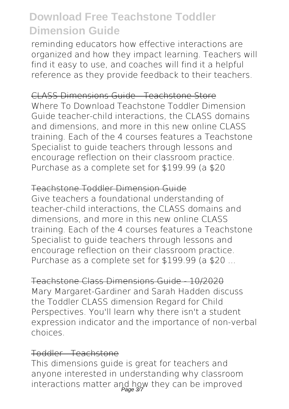reminding educators how effective interactions are organized and how they impact learning. Teachers will find it easy to use, and coaches will find it a helpful reference as they provide feedback to their teachers.

### CLASS Dimensions Guide - Teachstone Store

Where To Download Teachstone Toddler Dimension Guide teacher-child interactions, the CLASS domains and dimensions, and more in this new online CLASS training. Each of the 4 courses features a Teachstone Specialist to guide teachers through lessons and encourage reflection on their classroom practice. Purchase as a complete set for \$199.99 (a \$20

#### Teachstone Toddler Dimension Guide

Give teachers a foundational understanding of teacher-child interactions, the CLASS domains and dimensions, and more in this new online CLASS training. Each of the 4 courses features a Teachstone Specialist to guide teachers through lessons and encourage reflection on their classroom practice. Purchase as a complete set for \$199.99 (a \$20 ...

#### Teachstone Class Dimensions Guide - 10/2020

Mary Margaret-Gardiner and Sarah Hadden discuss the Toddler CLASS dimension Regard for Child Perspectives. You'll learn why there isn't a student expression indicator and the importance of non-verbal choices.

#### Toddler - Teachstone

This dimensions guide is great for teachers and anyone interested in understanding why classroom interactions matter and how they can be improved Page 3/7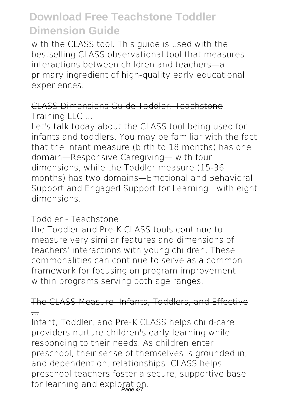with the CLASS tool. This guide is used with the bestselling CLASS observational tool that measures interactions between children and teachers—a primary ingredient of high-quality early educational experiences.

### CLASS Dimensions Guide Toddler: Teachstone Training LLC ...

Let's talk today about the CLASS tool being used for infants and toddlers. You may be familiar with the fact that the Infant measure (birth to 18 months) has one domain—Responsive Caregiving— with four dimensions, while the Toddler measure (15-36 months) has two domains—Emotional and Behavioral Support and Engaged Support for Learning—with eight dimensions.

#### Toddler - Teachstone

the Toddler and Pre-K CLASS tools continue to measure very similar features and dimensions of teachers' interactions with young children. These commonalities can continue to serve as a common framework for focusing on program improvement within programs serving both age ranges.

### The CLASS Measure: Infants, Toddlers, and Effective ...

Infant, Toddler, and Pre-K CLASS helps child-care providers nurture children's early learning while responding to their needs. As children enter preschool, their sense of themselves is grounded in, and dependent on, relationships. CLASS helps preschool teachers foster a secure, supportive base for learning and exploration.<br>Page 47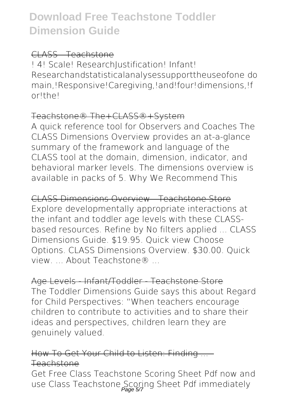#### CLASS - Teachstone

! 4! Scale! Research|ustification! Infant! Researchandstatisticalanalysessupporttheuseofone do main,!Responsive!Caregiving,!and!four!dimensions,!f or!the!

#### Teachstone® The+CLASS®+System

A quick reference tool for Observers and Coaches The CLASS Dimensions Overview provides an at-a-glance summary of the framework and language of the CLASS tool at the domain, dimension, indicator, and behavioral marker levels. The dimensions overview is available in packs of 5. Why We Recommend This

CLASS Dimensions Overview - Teachstone Store Explore developmentally appropriate interactions at the infant and toddler age levels with these CLASSbased resources. Refine by No filters applied ... CLASS Dimensions Guide. \$19.95. Quick view Choose Options. CLASS Dimensions Overview. \$30.00. Quick view. About Teachstone®

Age Levels - Infant/Toddler - Teachstone Store The Toddler Dimensions Guide says this about Regard for Child Perspectives: "When teachers encourage children to contribute to activities and to share their

ideas and perspectives, children learn they are genuinely valued.

How To Get Your Child to Listen: Finding Teachstone

Get Free Class Teachstone Scoring Sheet Pdf now and use Class Teachstone Scoring Sheet Pdf immediately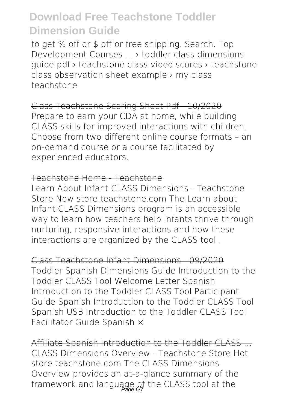to get % off or \$ off or free shipping. Search. Top Development Courses ... › toddler class dimensions guide pdf › teachstone class video scores › teachstone class observation sheet example › my class teachstone

Class Teachstone Scoring Sheet Pdf - 10/2020 Prepare to earn your CDA at home, while building CLASS skills for improved interactions with children. Choose from two different online course formats – an on-demand course or a course facilitated by experienced educators.

#### Teachstone Home - Teachstone

Learn About Infant CLASS Dimensions - Teachstone Store Now store teachstone com The Learn about Infant CLASS Dimensions program is an accessible way to learn how teachers help infants thrive through nurturing, responsive interactions and how these interactions are organized by the CLASS tool .

Class Teachstone Infant Dimensions - 09/2020 Toddler Spanish Dimensions Guide Introduction to the Toddler CLASS Tool Welcome Letter Spanish Introduction to the Toddler CLASS Tool Participant Guide Spanish Introduction to the Toddler CLASS Tool Spanish USB Introduction to the Toddler CLASS Tool Facilitator Guide Spanish ×

Affiliate Spanish Introduction to the Toddler CLASS ... CLASS Dimensions Overview - Teachstone Store Hot store.teachstone.com The CLASS Dimensions Overview provides an at-a-glance summary of the framework and language of the CLASS tool at the